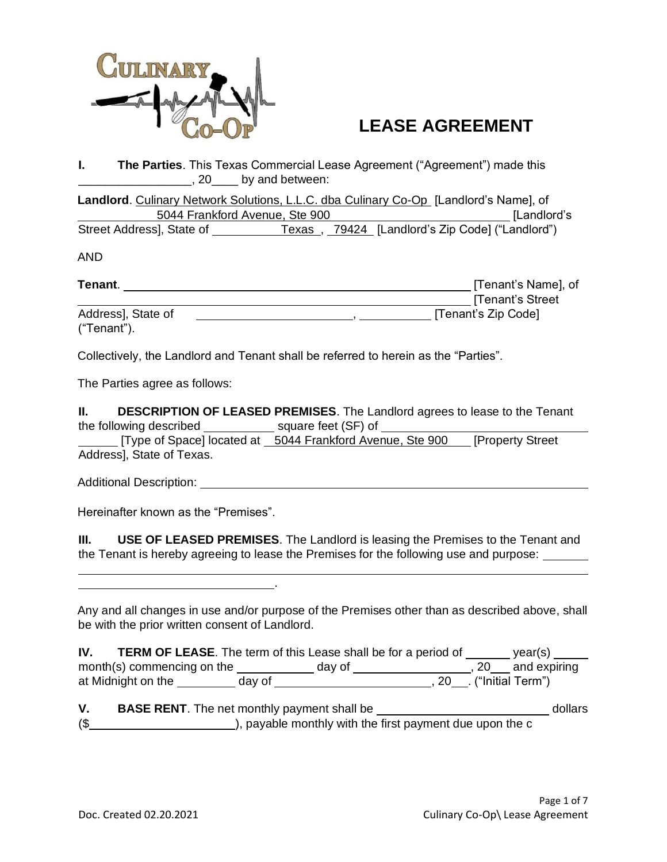

# **LEASE AGREEMENT**

**I. The Parties**. This Texas Commercial Lease Agreement ("Agreement") made this **paramelle 20** by and between:

**Landlord**. Culinary Network Solutions, L.L.C. dba Culinary Co-Op [Landlord's Name], of 5044 Frankford Avenue, Ste 900 [Landlord's Street Address], State of Texas, 79424 [Landlord's Zip Code] ("Landlord")

AND

| Tenant.            | [Tenant's Name], of |
|--------------------|---------------------|
|                    | [Tenant's Street    |
| Address], State of | [Tenant's Zip Code] |
| ("Tenant").        |                     |

Collectively, the Landlord and Tenant shall be referred to herein as the "Parties".

.

The Parties agree as follows:

**II. DESCRIPTION OF LEASED PREMISES**. The Landlord agrees to lease to the Tenant the following described square feet (SF) of

[Type of Space] located at 5044 Frankford Avenue, Ste 900 [Property Street] Address], State of Texas.

Additional Description: <u>New York: Additional Description:</u> New York: New York: New York: New York: New York: New York: New York: New York: New York: New York: New York: New York: New York: New York: New York: New York: Ne

Hereinafter known as the "Premises".

**III. USE OF LEASED PREMISES**. The Landlord is leasing the Premises to the Tenant and the Tenant is hereby agreeing to lease the Premises for the following use and purpose:

Any and all changes in use and/or purpose of the Premises other than as described above, shall be with the prior written consent of Landlord.

| IV.                        |        | <b>TERM OF LEASE.</b> The term of this Lease shall be for a period of |                          | year(s)             |
|----------------------------|--------|-----------------------------------------------------------------------|--------------------------|---------------------|
| month(s) commencing on the |        | day of                                                                |                          | $, 20$ and expiring |
| at Midnight on the         | day of |                                                                       | , 20  . ("Initial Term") |                     |

**V. BASE RENT**. The net monthly payment shall be dollars dollars (\$ ), payable monthly with the first payment due upon the c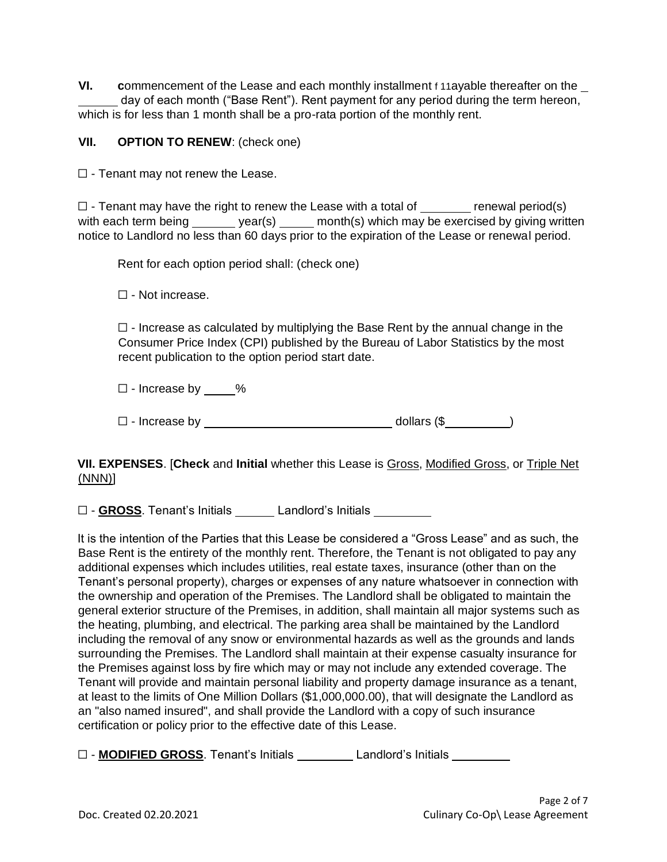**VI. c**ommencement of the Lease and each monthly installment f 11ayable thereafter on the day of each month ("Base Rent"). Rent payment for any period during the term hereon, which is for less than 1 month shall be a pro-rata portion of the monthly rent.

### **VII. OPTION TO RENEW**: (check one)

 $\Box$  - Tenant may not renew the Lease.

 $\Box$  - Tenant may have the right to renew the Lease with a total of  $\Box$  renewal period(s) with each term being year(s) month(s) which may be exercised by giving written notice to Landlord no less than 60 days prior to the expiration of the Lease or renewal period.

Rent for each option period shall: (check one)

☐ - Not increase.

 $\Box$  - Increase as calculated by multiplying the Base Rent by the annual change in the Consumer Price Index (CPI) published by the Bureau of Labor Statistics by the most recent publication to the option period start date.

☐ - Increase by %

 $\square$  - Increase by dollars (\$ )

**VII. EXPENSES**. [**Check** and **Initial** whether this Lease is Gross, Modified Gross, or Triple Net (NNN)]

☐ - **GROSS**. Tenant's Initials Landlord's Initials

It is the intention of the Parties that this Lease be considered a "Gross Lease" and as such, the Base Rent is the entirety of the monthly rent. Therefore, the Tenant is not obligated to pay any additional expenses which includes utilities, real estate taxes, insurance (other than on the Tenant's personal property), charges or expenses of any nature whatsoever in connection with the ownership and operation of the Premises. The Landlord shall be obligated to maintain the general exterior structure of the Premises, in addition, shall maintain all major systems such as the heating, plumbing, and electrical. The parking area shall be maintained by the Landlord including the removal of any snow or environmental hazards as well as the grounds and lands surrounding the Premises. The Landlord shall maintain at their expense casualty insurance for the Premises against loss by fire which may or may not include any extended coverage. The Tenant will provide and maintain personal liability and property damage insurance as a tenant, at least to the limits of One Million Dollars (\$1,000,000.00), that will designate the Landlord as an "also named insured", and shall provide the Landlord with a copy of such insurance certification or policy prior to the effective date of this Lease.

☐ - **MODIFIED GROSS**. Tenant's Initials Landlord's Initials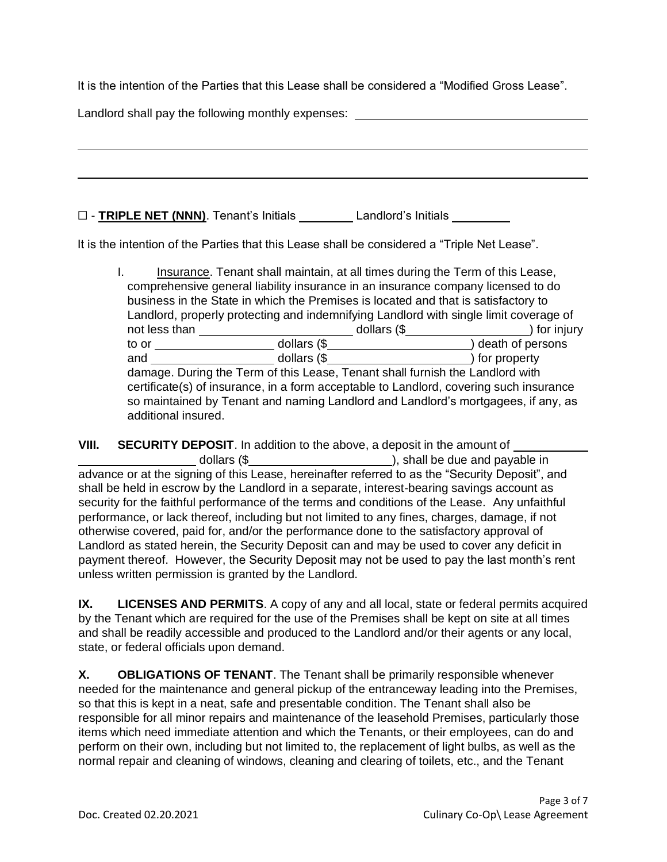It is the intention of the Parties that this Lease shall be considered a "Modified Gross Lease".

Landlord shall pay the following monthly expenses: \_\_\_\_\_\_\_\_\_\_\_\_\_\_\_\_\_\_\_\_\_\_\_\_\_\_\_\_\_

☐ - **TRIPLE NET (NNN)**. Tenant's Initials Landlord's Initials

It is the intention of the Parties that this Lease shall be considered a "Triple Net Lease".

|                                                                                                                 | Insurance. Tenant shall maintain, at all times during the Term of this Lease, |                                |  |  |
|-----------------------------------------------------------------------------------------------------------------|-------------------------------------------------------------------------------|--------------------------------|--|--|
| comprehensive general liability insurance in an insurance company licensed to do                                |                                                                               |                                |  |  |
| business in the State in which the Premises is located and that is satisfactory to                              |                                                                               |                                |  |  |
| Landlord, properly protecting and indemnifying Landlord with single limit coverage of                           |                                                                               |                                |  |  |
| not less than<br>___________ dollars (\$______________________<br>) for injury                                  |                                                                               |                                |  |  |
| to or to the state of the state of the state of the state of the state of the state of the state of the state o |                                                                               | dollars (\$ ) death of persons |  |  |
| and                                                                                                             |                                                                               |                                |  |  |
| damage. During the Term of this Lease, Tenant shall furnish the Landlord with                                   |                                                                               |                                |  |  |
| certificate(s) of insurance, in a form acceptable to Landlord, covering such insurance                          |                                                                               |                                |  |  |
| so maintained by Tenant and naming Landlord and Landlord's mortgagees, if any, as                               |                                                                               |                                |  |  |
| additional insured.                                                                                             |                                                                               |                                |  |  |

**VIII. SECURITY DEPOSIT**. In addition to the above, a deposit in the amount of dollars (\$ ), shall be due and payable in advance or at the signing of this Lease, hereinafter referred to as the "Security Deposit", and shall be held in escrow by the Landlord in a separate, interest-bearing savings account as security for the faithful performance of the terms and conditions of the Lease. Any unfaithful performance, or lack thereof, including but not limited to any fines, charges, damage, if not otherwise covered, paid for, and/or the performance done to the satisfactory approval of Landlord as stated herein, the Security Deposit can and may be used to cover any deficit in payment thereof. However, the Security Deposit may not be used to pay the last month's rent unless written permission is granted by the Landlord.

**IX. LICENSES AND PERMITS**. A copy of any and all local, state or federal permits acquired by the Tenant which are required for the use of the Premises shall be kept on site at all times and shall be readily accessible and produced to the Landlord and/or their agents or any local, state, or federal officials upon demand.

**X. OBLIGATIONS OF TENANT**. The Tenant shall be primarily responsible whenever needed for the maintenance and general pickup of the entranceway leading into the Premises, so that this is kept in a neat, safe and presentable condition. The Tenant shall also be responsible for all minor repairs and maintenance of the leasehold Premises, particularly those items which need immediate attention and which the Tenants, or their employees, can do and perform on their own, including but not limited to, the replacement of light bulbs, as well as the normal repair and cleaning of windows, cleaning and clearing of toilets, etc., and the Tenant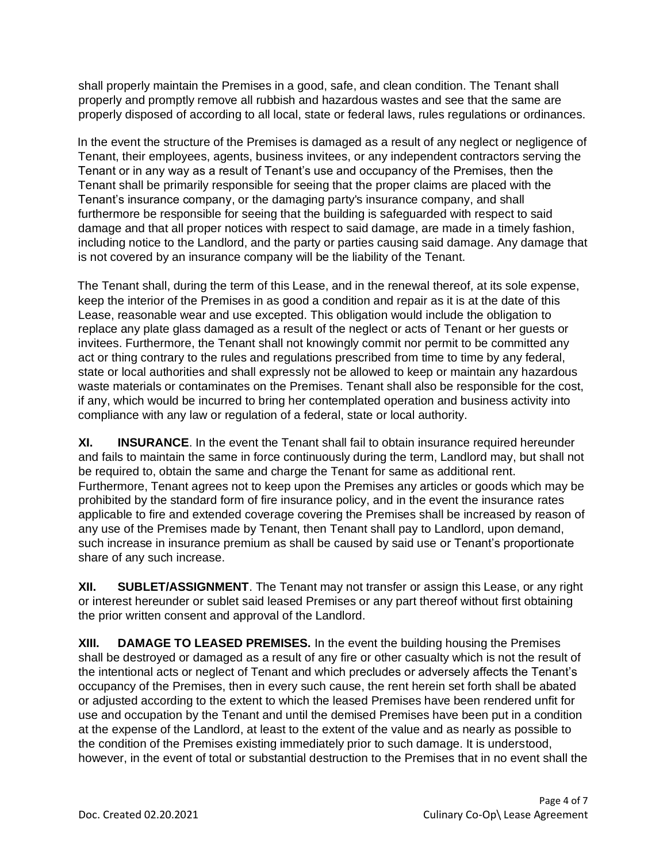shall properly maintain the Premises in a good, safe, and clean condition. The Tenant shall properly and promptly remove all rubbish and hazardous wastes and see that the same are properly disposed of according to all local, state or federal laws, rules regulations or ordinances.

In the event the structure of the Premises is damaged as a result of any neglect or negligence of Tenant, their employees, agents, business invitees, or any independent contractors serving the Tenant or in any way as a result of Tenant's use and occupancy of the Premises, then the Tenant shall be primarily responsible for seeing that the proper claims are placed with the Tenant's insurance company, or the damaging party's insurance company, and shall furthermore be responsible for seeing that the building is safeguarded with respect to said damage and that all proper notices with respect to said damage, are made in a timely fashion, including notice to the Landlord, and the party or parties causing said damage. Any damage that is not covered by an insurance company will be the liability of the Tenant.

The Tenant shall, during the term of this Lease, and in the renewal thereof, at its sole expense, keep the interior of the Premises in as good a condition and repair as it is at the date of this Lease, reasonable wear and use excepted. This obligation would include the obligation to replace any plate glass damaged as a result of the neglect or acts of Tenant or her guests or invitees. Furthermore, the Tenant shall not knowingly commit nor permit to be committed any act or thing contrary to the rules and regulations prescribed from time to time by any federal, state or local authorities and shall expressly not be allowed to keep or maintain any hazardous waste materials or contaminates on the Premises. Tenant shall also be responsible for the cost, if any, which would be incurred to bring her contemplated operation and business activity into compliance with any law or regulation of a federal, state or local authority.

**XI. INSURANCE**. In the event the Tenant shall fail to obtain insurance required hereunder and fails to maintain the same in force continuously during the term, Landlord may, but shall not be required to, obtain the same and charge the Tenant for same as additional rent. Furthermore, Tenant agrees not to keep upon the Premises any articles or goods which may be prohibited by the standard form of fire insurance policy, and in the event the insurance rates applicable to fire and extended coverage covering the Premises shall be increased by reason of any use of the Premises made by Tenant, then Tenant shall pay to Landlord, upon demand, such increase in insurance premium as shall be caused by said use or Tenant's proportionate share of any such increase.

**XII. SUBLET/ASSIGNMENT**. The Tenant may not transfer or assign this Lease, or any right or interest hereunder or sublet said leased Premises or any part thereof without first obtaining the prior written consent and approval of the Landlord.

**XIII. DAMAGE TO LEASED PREMISES.** In the event the building housing the Premises shall be destroyed or damaged as a result of any fire or other casualty which is not the result of the intentional acts or neglect of Tenant and which precludes or adversely affects the Tenant's occupancy of the Premises, then in every such cause, the rent herein set forth shall be abated or adjusted according to the extent to which the leased Premises have been rendered unfit for use and occupation by the Tenant and until the demised Premises have been put in a condition at the expense of the Landlord, at least to the extent of the value and as nearly as possible to the condition of the Premises existing immediately prior to such damage. It is understood, however, in the event of total or substantial destruction to the Premises that in no event shall the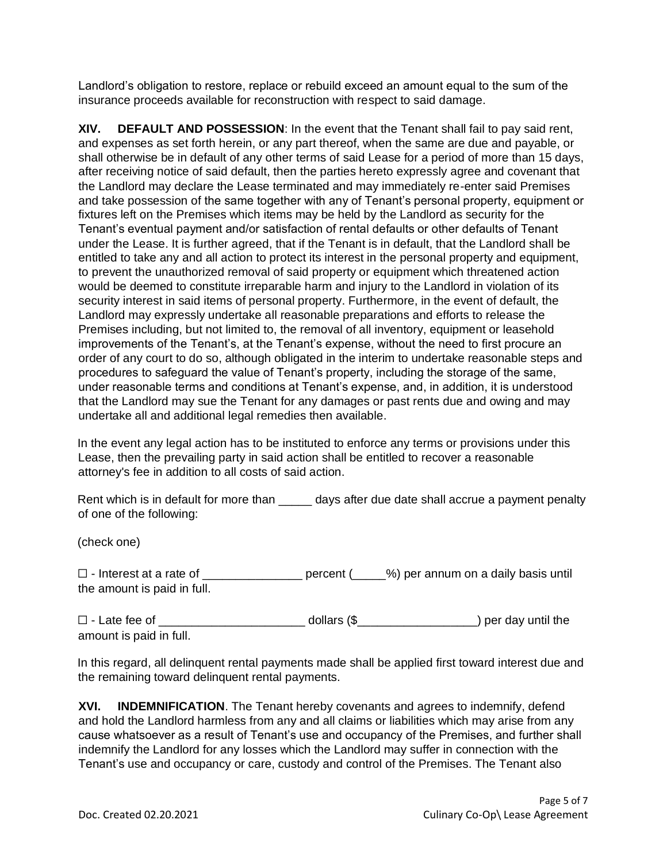Landlord's obligation to restore, replace or rebuild exceed an amount equal to the sum of the insurance proceeds available for reconstruction with respect to said damage.

**XIV. DEFAULT AND POSSESSION**: In the event that the Tenant shall fail to pay said rent, and expenses as set forth herein, or any part thereof, when the same are due and payable, or shall otherwise be in default of any other terms of said Lease for a period of more than 15 days, after receiving notice of said default, then the parties hereto expressly agree and covenant that the Landlord may declare the Lease terminated and may immediately re-enter said Premises and take possession of the same together with any of Tenant's personal property, equipment or fixtures left on the Premises which items may be held by the Landlord as security for the Tenant's eventual payment and/or satisfaction of rental defaults or other defaults of Tenant under the Lease. It is further agreed, that if the Tenant is in default, that the Landlord shall be entitled to take any and all action to protect its interest in the personal property and equipment, to prevent the unauthorized removal of said property or equipment which threatened action would be deemed to constitute irreparable harm and injury to the Landlord in violation of its security interest in said items of personal property. Furthermore, in the event of default, the Landlord may expressly undertake all reasonable preparations and efforts to release the Premises including, but not limited to, the removal of all inventory, equipment or leasehold improvements of the Tenant's, at the Tenant's expense, without the need to first procure an order of any court to do so, although obligated in the interim to undertake reasonable steps and procedures to safeguard the value of Tenant's property, including the storage of the same, under reasonable terms and conditions at Tenant's expense, and, in addition, it is understood that the Landlord may sue the Tenant for any damages or past rents due and owing and may undertake all and additional legal remedies then available.

In the event any legal action has to be instituted to enforce any terms or provisions under this Lease, then the prevailing party in said action shall be entitled to recover a reasonable attorney's fee in addition to all costs of said action.

Rent which is in default for more than \_\_\_\_\_ days after due date shall accrue a payment penalty of one of the following:

(check one)

☐ - Interest at a rate of \_\_\_\_\_\_\_\_\_\_\_\_\_\_\_ percent (\_\_\_\_\_%) per annum on a daily basis until the amount is paid in full.

☐ - Late fee of \_\_\_\_\_\_\_\_\_\_\_\_\_\_\_\_\_\_\_\_\_\_ dollars (\$\_\_\_\_\_\_\_\_\_\_\_\_\_\_\_\_\_\_) per day until the amount is paid in full.

In this regard, all delinquent rental payments made shall be applied first toward interest due and the remaining toward delinquent rental payments.

**XVI. INDEMNIFICATION**. The Tenant hereby covenants and agrees to indemnify, defend and hold the Landlord harmless from any and all claims or liabilities which may arise from any cause whatsoever as a result of Tenant's use and occupancy of the Premises, and further shall indemnify the Landlord for any losses which the Landlord may suffer in connection with the Tenant's use and occupancy or care, custody and control of the Premises. The Tenant also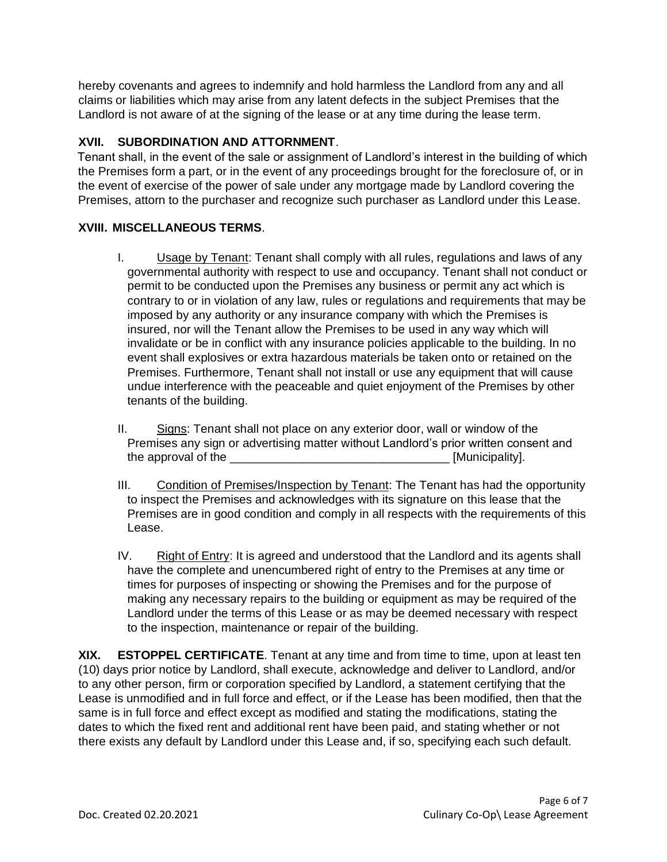hereby covenants and agrees to indemnify and hold harmless the Landlord from any and all claims or liabilities which may arise from any latent defects in the subject Premises that the Landlord is not aware of at the signing of the lease or at any time during the lease term.

## **XVII. SUBORDINATION AND ATTORNMENT**.

Tenant shall, in the event of the sale or assignment of Landlord's interest in the building of which the Premises form a part, or in the event of any proceedings brought for the foreclosure of, or in the event of exercise of the power of sale under any mortgage made by Landlord covering the Premises, attorn to the purchaser and recognize such purchaser as Landlord under this Lease.

### **XVIII. MISCELLANEOUS TERMS**.

- I. Usage by Tenant: Tenant shall comply with all rules, regulations and laws of any governmental authority with respect to use and occupancy. Tenant shall not conduct or permit to be conducted upon the Premises any business or permit any act which is contrary to or in violation of any law, rules or regulations and requirements that may be imposed by any authority or any insurance company with which the Premises is insured, nor will the Tenant allow the Premises to be used in any way which will invalidate or be in conflict with any insurance policies applicable to the building. In no event shall explosives or extra hazardous materials be taken onto or retained on the Premises. Furthermore, Tenant shall not install or use any equipment that will cause undue interference with the peaceable and quiet enjoyment of the Premises by other tenants of the building.
- II. Signs: Tenant shall not place on any exterior door, wall or window of the Premises any sign or advertising matter without Landlord's prior written consent and the approval of the the state of the state of the state of the state of the state of the state of the state of the state of the state of the state of the state of the state of the state of the state of the state of the sta
- III. Condition of Premises/Inspection by Tenant: The Tenant has had the opportunity to inspect the Premises and acknowledges with its signature on this lease that the Premises are in good condition and comply in all respects with the requirements of this Lease.
- IV. Right of Entry: It is agreed and understood that the Landlord and its agents shall have the complete and unencumbered right of entry to the Premises at any time or times for purposes of inspecting or showing the Premises and for the purpose of making any necessary repairs to the building or equipment as may be required of the Landlord under the terms of this Lease or as may be deemed necessary with respect to the inspection, maintenance or repair of the building.

**XIX. ESTOPPEL CERTIFICATE**. Tenant at any time and from time to time, upon at least ten (10) days prior notice by Landlord, shall execute, acknowledge and deliver to Landlord, and/or to any other person, firm or corporation specified by Landlord, a statement certifying that the Lease is unmodified and in full force and effect, or if the Lease has been modified, then that the same is in full force and effect except as modified and stating the modifications, stating the dates to which the fixed rent and additional rent have been paid, and stating whether or not there exists any default by Landlord under this Lease and, if so, specifying each such default.